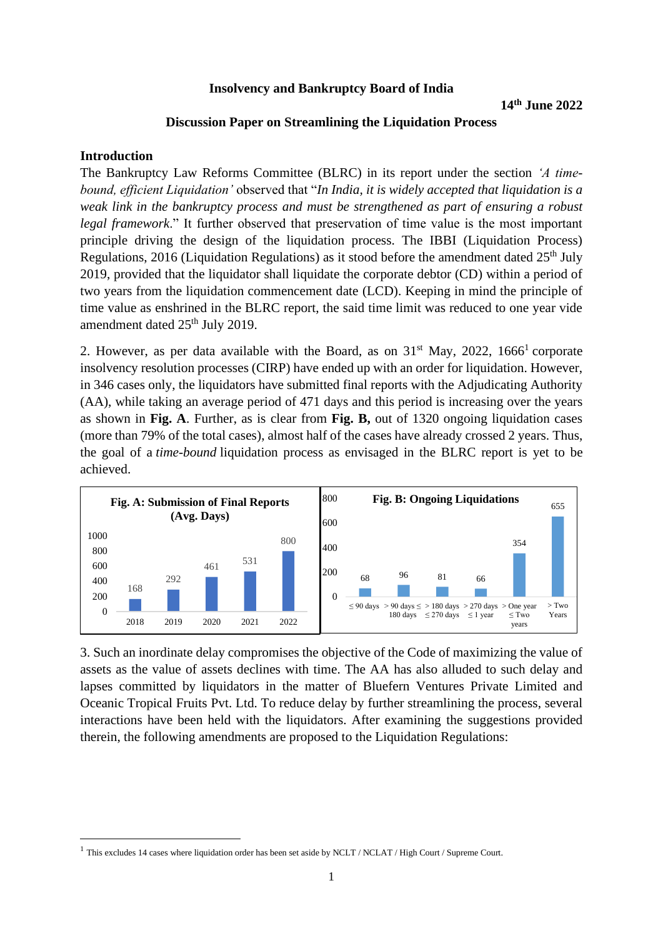#### **Insolvency and Bankruptcy Board of India**

#### **Discussion Paper on Streamlining the Liquidation Process**

#### **Introduction**

The Bankruptcy Law Reforms Committee (BLRC) in its report under the section *'A timebound, efficient Liquidation'* observed that "*In India, it is widely accepted that liquidation is a weak link in the bankruptcy process and must be strengthened as part of ensuring a robust legal framework*." It further observed that preservation of time value is the most important principle driving the design of the liquidation process. The IBBI (Liquidation Process) Regulations, 2016 (Liquidation Regulations) as it stood before the amendment dated  $25<sup>th</sup>$  July 2019, provided that the liquidator shall liquidate the corporate debtor (CD) within a period of two years from the liquidation commencement date (LCD). Keeping in mind the principle of time value as enshrined in the BLRC report, the said time limit was reduced to one year vide amendment dated 25<sup>th</sup> July 2019.

2. However, as per data available with the Board, as on  $31<sup>st</sup>$  May, 2022, 1666<sup>1</sup> corporate insolvency resolution processes (CIRP) have ended up with an order for liquidation. However, in 346 cases only, the liquidators have submitted final reports with the Adjudicating Authority (AA), while taking an average period of 471 days and this period is increasing over the years as shown in **Fig. A**. Further, as is clear from **Fig. B,** out of 1320 ongoing liquidation cases (more than 79% of the total cases), almost half of the cases have already crossed 2 years. Thus, the goal of a *time-bound* liquidation process as envisaged in the BLRC report is yet to be achieved.



3. Such an inordinate delay compromises the objective of the Code of maximizing the value of assets as the value of assets declines with time. The AA has also alluded to such delay and lapses committed by liquidators in the matter of Bluefern Ventures Private Limited and Oceanic Tropical Fruits Pvt. Ltd. To reduce delay by further streamlining the process, several interactions have been held with the liquidators. After examining the suggestions provided therein, the following amendments are proposed to the Liquidation Regulations:

<sup>&</sup>lt;sup>1</sup> This excludes 14 cases where liquidation order has been set aside by NCLT / NCLAT / High Court / Supreme Court.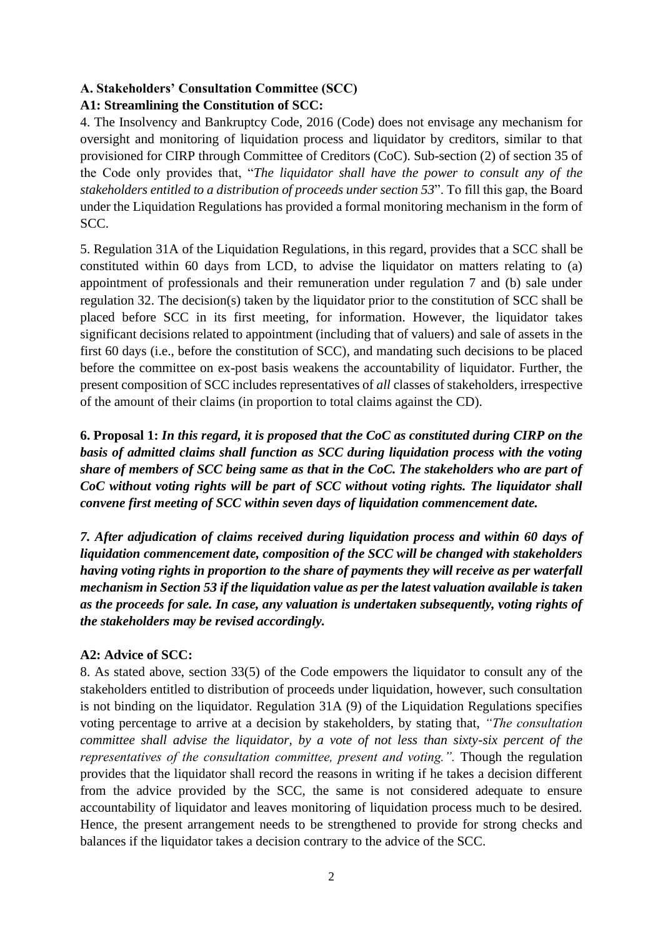# **A. Stakeholders' Consultation Committee (SCC)**

# **A1: Streamlining the Constitution of SCC:**

4. The Insolvency and Bankruptcy Code, 2016 (Code) does not envisage any mechanism for oversight and monitoring of liquidation process and liquidator by creditors, similar to that provisioned for CIRP through Committee of Creditors (CoC). Sub-section (2) of section 35 of the Code only provides that, "*The liquidator shall have the power to consult any of the stakeholders entitled to a distribution of proceeds under section 53*". To fill this gap, the Board under the Liquidation Regulations has provided a formal monitoring mechanism in the form of SCC.

5. Regulation 31A of the Liquidation Regulations, in this regard, provides that a SCC shall be constituted within 60 days from LCD, to advise the liquidator on matters relating to (a) appointment of professionals and their remuneration under regulation 7 and (b) sale under regulation 32. The decision(s) taken by the liquidator prior to the constitution of SCC shall be placed before SCC in its first meeting, for information. However, the liquidator takes significant decisions related to appointment (including that of valuers) and sale of assets in the first 60 days (i.e., before the constitution of SCC), and mandating such decisions to be placed before the committee on ex-post basis weakens the accountability of liquidator. Further, the present composition of SCC includes representatives of *all* classes of stakeholders, irrespective of the amount of their claims (in proportion to total claims against the CD).

**6. Proposal 1:** *In this regard, it is proposed that the CoC as constituted during CIRP on the basis of admitted claims shall function as SCC during liquidation process with the voting share of members of SCC being same as that in the CoC. The stakeholders who are part of CoC without voting rights will be part of SCC without voting rights. The liquidator shall convene first meeting of SCC within seven days of liquidation commencement date.*

*7. After adjudication of claims received during liquidation process and within 60 days of liquidation commencement date, composition of the SCC will be changed with stakeholders having voting rights in proportion to the share of payments they will receive as per waterfall mechanism in Section 53 if the liquidation value as per the latest valuation available is taken as the proceeds for sale. In case, any valuation is undertaken subsequently, voting rights of the stakeholders may be revised accordingly.*

# **A2: Advice of SCC:**

8. As stated above, section 33(5) of the Code empowers the liquidator to consult any of the stakeholders entitled to distribution of proceeds under liquidation, however, such consultation is not binding on the liquidator. Regulation 31A (9) of the Liquidation Regulations specifies voting percentage to arrive at a decision by stakeholders, by stating that, *"The consultation committee shall advise the liquidator, by a vote of not less than sixty-six percent of the representatives of the consultation committee, present and voting.".* Though the regulation provides that the liquidator shall record the reasons in writing if he takes a decision different from the advice provided by the SCC, the same is not considered adequate to ensure accountability of liquidator and leaves monitoring of liquidation process much to be desired. Hence, the present arrangement needs to be strengthened to provide for strong checks and balances if the liquidator takes a decision contrary to the advice of the SCC.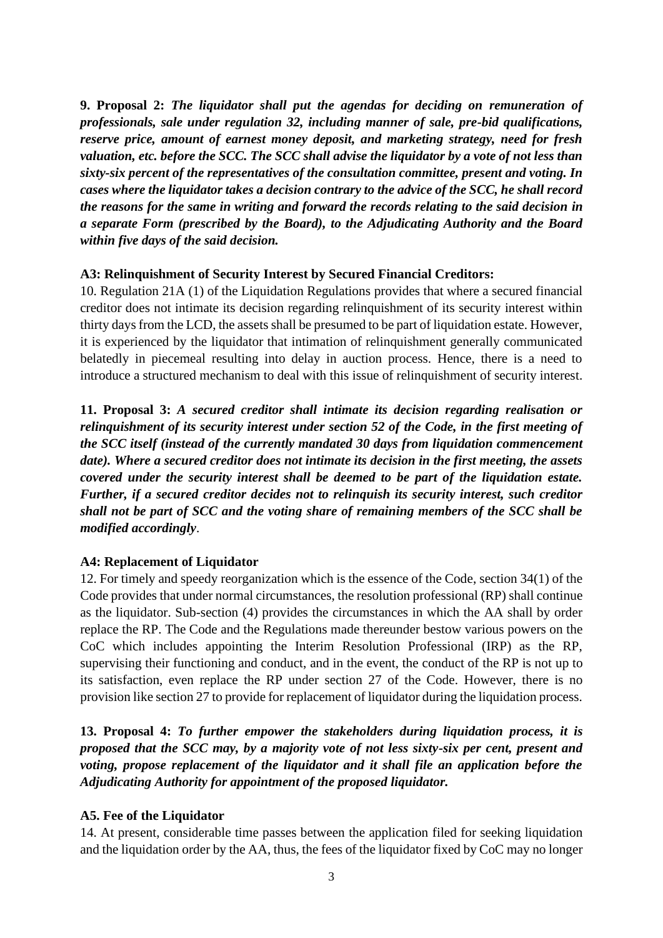**9. Proposal 2:** *The liquidator shall put the agendas for deciding on remuneration of professionals, sale under regulation 32, including manner of sale, pre-bid qualifications, reserve price, amount of earnest money deposit, and marketing strategy, need for fresh valuation, etc. before the SCC. The SCC shall advise the liquidator by a vote of not less than sixty-six percent of the representatives of the consultation committee, present and voting. In cases where the liquidator takes a decision contrary to the advice of the SCC, he shall record the reasons for the same in writing and forward the records relating to the said decision in a separate Form (prescribed by the Board), to the Adjudicating Authority and the Board within five days of the said decision.* 

#### **A3: Relinquishment of Security Interest by Secured Financial Creditors:**

10. Regulation 21A (1) of the Liquidation Regulations provides that where a secured financial creditor does not intimate its decision regarding relinquishment of its security interest within thirty days from the LCD, the assets shall be presumed to be part of liquidation estate. However, it is experienced by the liquidator that intimation of relinquishment generally communicated belatedly in piecemeal resulting into delay in auction process. Hence, there is a need to introduce a structured mechanism to deal with this issue of relinquishment of security interest.

**11. Proposal 3:** *A secured creditor shall intimate its decision regarding realisation or relinquishment of its security interest under section 52 of the Code, in the first meeting of the SCC itself (instead of the currently mandated 30 days from liquidation commencement date). Where a secured creditor does not intimate its decision in the first meeting, the assets covered under the security interest shall be deemed to be part of the liquidation estate. Further, if a secured creditor decides not to relinquish its security interest, such creditor shall not be part of SCC and the voting share of remaining members of the SCC shall be modified accordingly*.

## **A4: Replacement of Liquidator**

12. For timely and speedy reorganization which is the essence of the Code, section 34(1) of the Code provides that under normal circumstances, the resolution professional (RP) shall continue as the liquidator. Sub-section (4) provides the circumstances in which the AA shall by order replace the RP. The Code and the Regulations made thereunder bestow various powers on the CoC which includes appointing the Interim Resolution Professional (IRP) as the RP, supervising their functioning and conduct, and in the event, the conduct of the RP is not up to its satisfaction, even replace the RP under section 27 of the Code. However, there is no provision like section 27 to provide for replacement of liquidator during the liquidation process.

**13. Proposal 4:** *To further empower the stakeholders during liquidation process, it is proposed that the SCC may, by a majority vote of not less sixty-six per cent, present and voting, propose replacement of the liquidator and it shall file an application before the Adjudicating Authority for appointment of the proposed liquidator.*

## **A5. Fee of the Liquidator**

14. At present, considerable time passes between the application filed for seeking liquidation and the liquidation order by the AA, thus, the fees of the liquidator fixed by CoC may no longer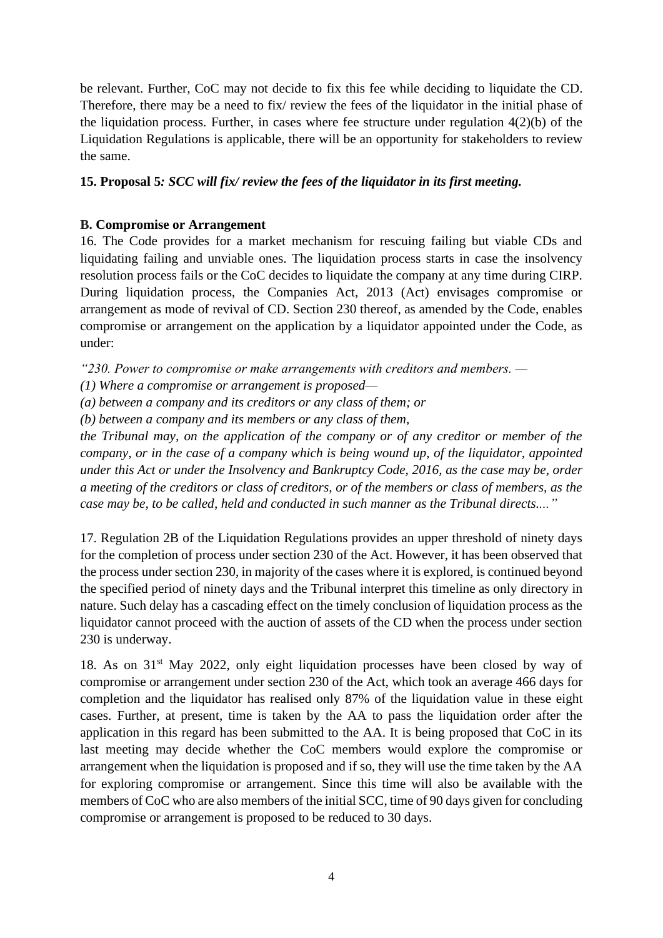be relevant. Further, CoC may not decide to fix this fee while deciding to liquidate the CD. Therefore, there may be a need to fix/ review the fees of the liquidator in the initial phase of the liquidation process. Further, in cases where fee structure under regulation  $4(2)(b)$  of the Liquidation Regulations is applicable, there will be an opportunity for stakeholders to review the same.

## **15. Proposal 5***: SCC will fix/ review the fees of the liquidator in its first meeting.*

#### **B. Compromise or Arrangement**

16. The Code provides for a market mechanism for rescuing failing but viable CDs and liquidating failing and unviable ones. The liquidation process starts in case the insolvency resolution process fails or the CoC decides to liquidate the company at any time during CIRP. During liquidation process, the Companies Act, 2013 (Act) envisages compromise or arrangement as mode of revival of CD. Section 230 thereof, as amended by the Code, enables compromise or arrangement on the application by a liquidator appointed under the Code, as under:

*"230. Power to compromise or make arrangements with creditors and members. —*

*(1) Where a compromise or arrangement is proposed—*

*(a) between a company and its creditors or any class of them; or*

*(b) between a company and its members or any class of them,*

*the Tribunal may, on the application of the company or of any creditor or member of the company, or in the case of a company which is being wound up, of the liquidator, appointed under this Act or under the Insolvency and Bankruptcy Code, 2016, as the case may be, order a meeting of the creditors or class of creditors, or of the members or class of members, as the case may be, to be called, held and conducted in such manner as the Tribunal directs...."*

17. Regulation 2B of the Liquidation Regulations provides an upper threshold of ninety days for the completion of process under section 230 of the Act. However, it has been observed that the process under section 230, in majority of the cases where it is explored, is continued beyond the specified period of ninety days and the Tribunal interpret this timeline as only directory in nature. Such delay has a cascading effect on the timely conclusion of liquidation process as the liquidator cannot proceed with the auction of assets of the CD when the process under section 230 is underway.

18. As on 31st May 2022, only eight liquidation processes have been closed by way of compromise or arrangement under section 230 of the Act, which took an average 466 days for completion and the liquidator has realised only 87% of the liquidation value in these eight cases. Further, at present, time is taken by the AA to pass the liquidation order after the application in this regard has been submitted to the AA. It is being proposed that CoC in its last meeting may decide whether the CoC members would explore the compromise or arrangement when the liquidation is proposed and if so, they will use the time taken by the AA for exploring compromise or arrangement. Since this time will also be available with the members of CoC who are also members of the initial SCC, time of 90 days given for concluding compromise or arrangement is proposed to be reduced to 30 days.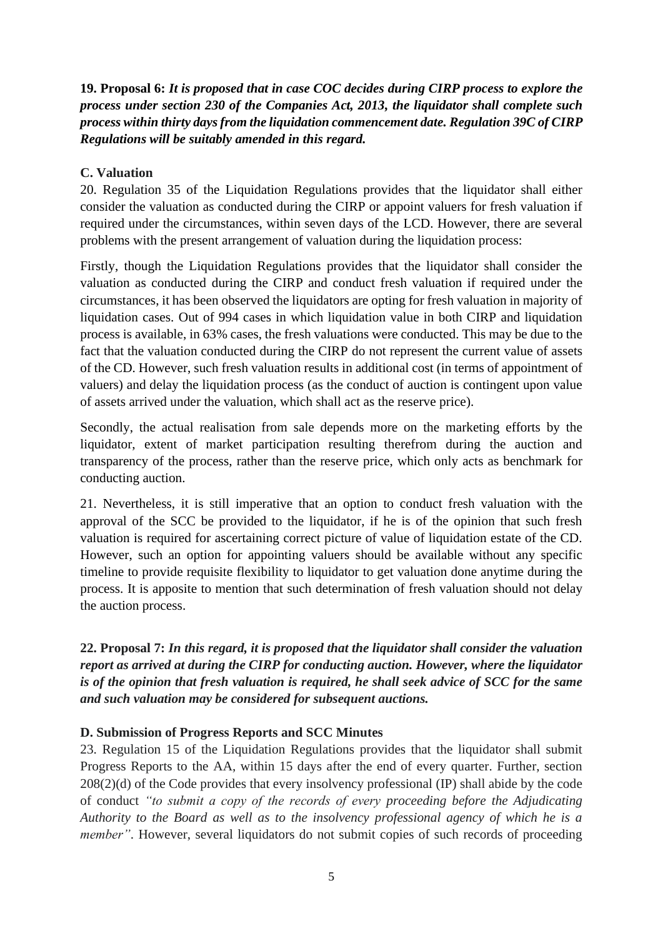**19. Proposal 6:** *It is proposed that in case COC decides during CIRP process to explore the process under section 230 of the Companies Act, 2013, the liquidator shall complete such process within thirty days from the liquidation commencement date. Regulation 39C of CIRP Regulations will be suitably amended in this regard.*

## **C. Valuation**

20. Regulation 35 of the Liquidation Regulations provides that the liquidator shall either consider the valuation as conducted during the CIRP or appoint valuers for fresh valuation if required under the circumstances, within seven days of the LCD. However, there are several problems with the present arrangement of valuation during the liquidation process:

Firstly, though the Liquidation Regulations provides that the liquidator shall consider the valuation as conducted during the CIRP and conduct fresh valuation if required under the circumstances, it has been observed the liquidators are opting for fresh valuation in majority of liquidation cases. Out of 994 cases in which liquidation value in both CIRP and liquidation process is available, in 63% cases, the fresh valuations were conducted. This may be due to the fact that the valuation conducted during the CIRP do not represent the current value of assets of the CD. However, such fresh valuation results in additional cost (in terms of appointment of valuers) and delay the liquidation process (as the conduct of auction is contingent upon value of assets arrived under the valuation, which shall act as the reserve price).

Secondly, the actual realisation from sale depends more on the marketing efforts by the liquidator, extent of market participation resulting therefrom during the auction and transparency of the process, rather than the reserve price, which only acts as benchmark for conducting auction.

21. Nevertheless, it is still imperative that an option to conduct fresh valuation with the approval of the SCC be provided to the liquidator, if he is of the opinion that such fresh valuation is required for ascertaining correct picture of value of liquidation estate of the CD. However, such an option for appointing valuers should be available without any specific timeline to provide requisite flexibility to liquidator to get valuation done anytime during the process. It is apposite to mention that such determination of fresh valuation should not delay the auction process.

**22. Proposal 7:** *In this regard, it is proposed that the liquidator shall consider the valuation report as arrived at during the CIRP for conducting auction. However, where the liquidator is of the opinion that fresh valuation is required, he shall seek advice of SCC for the same and such valuation may be considered for subsequent auctions.*

## **D. Submission of Progress Reports and SCC Minutes**

23. Regulation 15 of the Liquidation Regulations provides that the liquidator shall submit Progress Reports to the AA, within 15 days after the end of every quarter. Further, section 208(2)(d) of the Code provides that every insolvency professional (IP) shall abide by the code of conduct *"to submit a copy of the records of every proceeding before the Adjudicating Authority to the Board as well as to the insolvency professional agency of which he is a member"*. However, several liquidators do not submit copies of such records of proceeding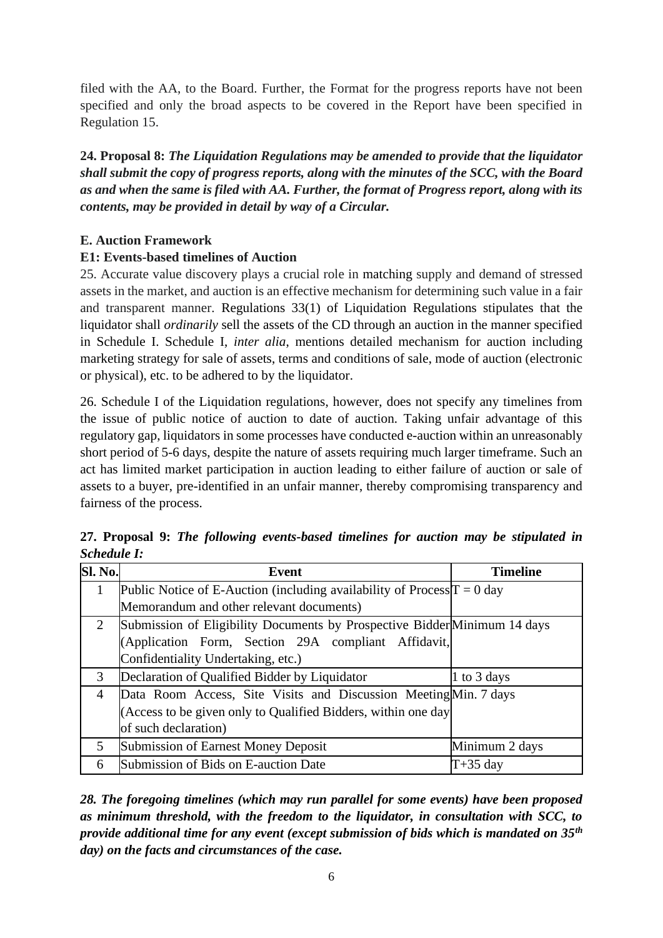filed with the AA, to the Board. Further, the Format for the progress reports have not been specified and only the broad aspects to be covered in the Report have been specified in Regulation 15.

**24. Proposal 8:** *The Liquidation Regulations may be amended to provide that the liquidator shall submit the copy of progress reports, along with the minutes of the SCC, with the Board as and when the same is filed with AA. Further, the format of Progress report, along with its contents, may be provided in detail by way of a Circular.*

## **E. Auction Framework**

# **E1: Events-based timelines of Auction**

25. Accurate value discovery plays a crucial role in matching supply and demand of stressed assets in the market, and auction is an effective mechanism for determining such value in a fair and transparent manner. Regulations 33(1) of Liquidation Regulations stipulates that the liquidator shall *ordinarily* sell the assets of the CD through an auction in the manner specified in Schedule I. Schedule I, *inter alia*, mentions detailed mechanism for auction including marketing strategy for sale of assets, terms and conditions of sale, mode of auction (electronic or physical), etc. to be adhered to by the liquidator.

26. Schedule I of the Liquidation regulations, however, does not specify any timelines from the issue of public notice of auction to date of auction. Taking unfair advantage of this regulatory gap, liquidators in some processes have conducted e-auction within an unreasonably short period of 5-6 days, despite the nature of assets requiring much larger timeframe. Such an act has limited market participation in auction leading to either failure of auction or sale of assets to a buyer, pre-identified in an unfair manner, thereby compromising transparency and fairness of the process.

| Sl. No.        | Event                                                                     | <b>Timeline</b> |
|----------------|---------------------------------------------------------------------------|-----------------|
| 1              | Public Notice of E-Auction (including availability of Process $T = 0$ day |                 |
|                | Memorandum and other relevant documents)                                  |                 |
| 2              | Submission of Eligibility Documents by Prospective Bidder Minimum 14 days |                 |
|                | (Application Form, Section 29A compliant Affidavit,                       |                 |
|                | Confidentiality Undertaking, etc.)                                        |                 |
| 3              | Declaration of Qualified Bidder by Liquidator                             | 1 to 3 days     |
| 4              | Data Room Access, Site Visits and Discussion Meeting Min. 7 days          |                 |
|                | (Access to be given only to Qualified Bidders, within one day             |                 |
|                | of such declaration)                                                      |                 |
| 5 <sup>1</sup> | Submission of Earnest Money Deposit                                       | Minimum 2 days  |
| 6              | Submission of Bids on E-auction Date                                      | $T+35$ day      |

**27. Proposal 9:** *The following events-based timelines for auction may be stipulated in Schedule I:*

*28. The foregoing timelines (which may run parallel for some events) have been proposed as minimum threshold, with the freedom to the liquidator, in consultation with SCC, to provide additional time for any event (except submission of bids which is mandated on 35th day) on the facts and circumstances of the case.*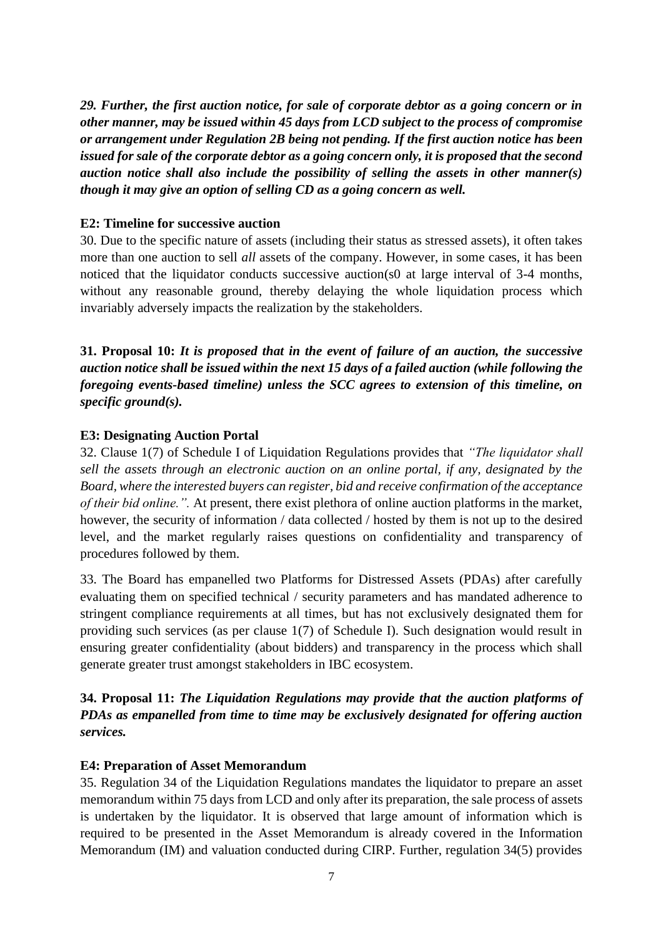*29. Further, the first auction notice, for sale of corporate debtor as a going concern or in other manner, may be issued within 45 days from LCD subject to the process of compromise or arrangement under Regulation 2B being not pending. If the first auction notice has been issued for sale of the corporate debtor as a going concern only, it is proposed that the second auction notice shall also include the possibility of selling the assets in other manner(s) though it may give an option of selling CD as a going concern as well.* 

#### **E2: Timeline for successive auction**

30. Due to the specific nature of assets (including their status as stressed assets), it often takes more than one auction to sell *all* assets of the company. However, in some cases, it has been noticed that the liquidator conducts successive auction(s0 at large interval of 3-4 months, without any reasonable ground, thereby delaying the whole liquidation process which invariably adversely impacts the realization by the stakeholders.

**31. Proposal 10:** *It is proposed that in the event of failure of an auction, the successive auction notice shall be issued within the next 15 days of a failed auction (while following the foregoing events-based timeline) unless the SCC agrees to extension of this timeline, on specific ground(s).*

## **E3: Designating Auction Portal**

32. Clause 1(7) of Schedule I of Liquidation Regulations provides that *"The liquidator shall sell the assets through an electronic auction on an online portal, if any, designated by the Board, where the interested buyers can register, bid and receive confirmation of the acceptance of their bid online.".* At present, there exist plethora of online auction platforms in the market, however, the security of information / data collected / hosted by them is not up to the desired level, and the market regularly raises questions on confidentiality and transparency of procedures followed by them.

33. The Board has empanelled two Platforms for Distressed Assets (PDAs) after carefully evaluating them on specified technical / security parameters and has mandated adherence to stringent compliance requirements at all times, but has not exclusively designated them for providing such services (as per clause 1(7) of Schedule I). Such designation would result in ensuring greater confidentiality (about bidders) and transparency in the process which shall generate greater trust amongst stakeholders in IBC ecosystem.

**34. Proposal 11:** *The Liquidation Regulations may provide that the auction platforms of PDAs as empanelled from time to time may be exclusively designated for offering auction services.*

#### **E4: Preparation of Asset Memorandum**

35. Regulation 34 of the Liquidation Regulations mandates the liquidator to prepare an asset memorandum within 75 days from LCD and only after its preparation, the sale process of assets is undertaken by the liquidator. It is observed that large amount of information which is required to be presented in the Asset Memorandum is already covered in the Information Memorandum (IM) and valuation conducted during CIRP. Further, regulation 34(5) provides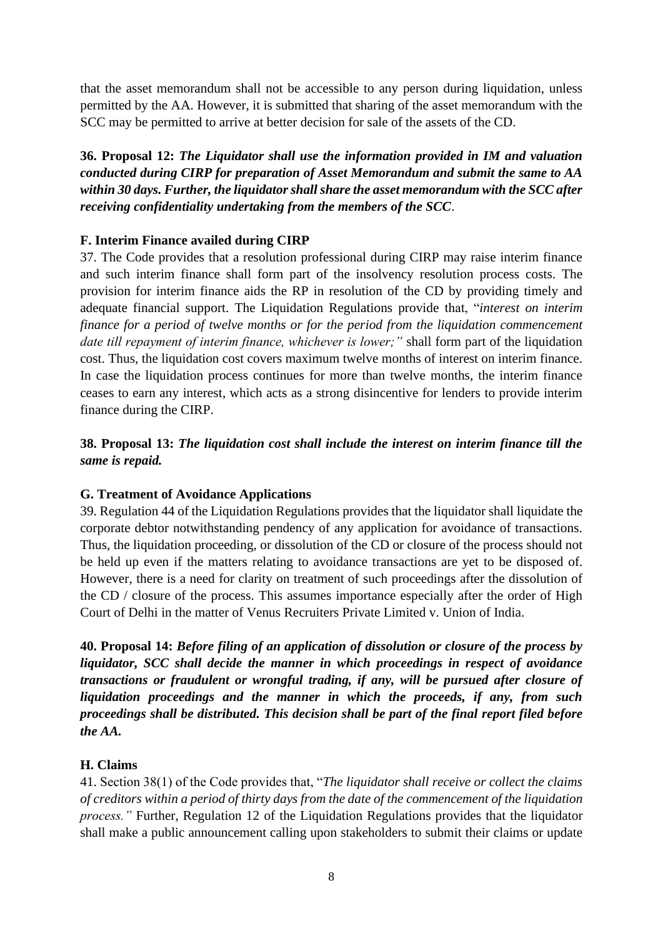that the asset memorandum shall not be accessible to any person during liquidation, unless permitted by the AA. However, it is submitted that sharing of the asset memorandum with the SCC may be permitted to arrive at better decision for sale of the assets of the CD.

**36. Proposal 12:** *The Liquidator shall use the information provided in IM and valuation conducted during CIRP for preparation of Asset Memorandum and submit the same to AA within 30 days. Further, the liquidator shall share the asset memorandum with the SCC after receiving confidentiality undertaking from the members of the SCC*.

## **F. Interim Finance availed during CIRP**

37. The Code provides that a resolution professional during CIRP may raise interim finance and such interim finance shall form part of the insolvency resolution process costs. The provision for interim finance aids the RP in resolution of the CD by providing timely and adequate financial support. The Liquidation Regulations provide that, "*interest on interim finance for a period of twelve months or for the period from the liquidation commencement date till repayment of interim finance, whichever is lower;"* shall form part of the liquidation cost. Thus, the liquidation cost covers maximum twelve months of interest on interim finance. In case the liquidation process continues for more than twelve months, the interim finance ceases to earn any interest, which acts as a strong disincentive for lenders to provide interim finance during the CIRP.

**38. Proposal 13:** *The liquidation cost shall include the interest on interim finance till the same is repaid.* 

## **G. Treatment of Avoidance Applications**

39. Regulation 44 of the Liquidation Regulations provides that the liquidator shall liquidate the corporate debtor notwithstanding pendency of any application for avoidance of transactions. Thus, the liquidation proceeding, or dissolution of the CD or closure of the process should not be held up even if the matters relating to avoidance transactions are yet to be disposed of. However, there is a need for clarity on treatment of such proceedings after the dissolution of the CD / closure of the process. This assumes importance especially after the order of High Court of Delhi in the matter of Venus Recruiters Private Limited v. Union of India.

**40. Proposal 14:** *Before filing of an application of dissolution or closure of the process by liquidator, SCC shall decide the manner in which proceedings in respect of avoidance transactions or fraudulent or wrongful trading, if any, will be pursued after closure of liquidation proceedings and the manner in which the proceeds, if any, from such proceedings shall be distributed. This decision shall be part of the final report filed before the AA.*

## **H. Claims**

41. Section 38(1) of the Code provides that, "*The liquidator shall receive or collect the claims of creditors within a period of thirty days from the date of the commencement of the liquidation process."* Further, Regulation 12 of the Liquidation Regulations provides that the liquidator shall make a public announcement calling upon stakeholders to submit their claims or update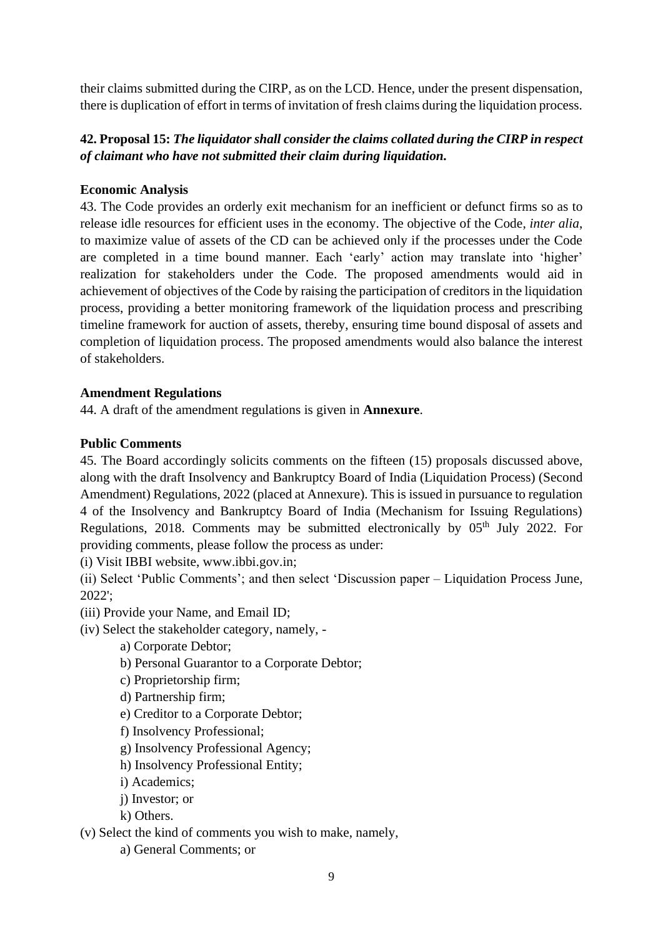their claims submitted during the CIRP, as on the LCD. Hence, under the present dispensation, there is duplication of effort in terms of invitation of fresh claims during the liquidation process.

# **42. Proposal 15:** *The liquidator shall consider the claims collated during the CIRP in respect of claimant who have not submitted their claim during liquidation.*

## **Economic Analysis**

43. The Code provides an orderly exit mechanism for an inefficient or defunct firms so as to release idle resources for efficient uses in the economy. The objective of the Code, *inter alia*, to maximize value of assets of the CD can be achieved only if the processes under the Code are completed in a time bound manner. Each 'early' action may translate into 'higher' realization for stakeholders under the Code. The proposed amendments would aid in achievement of objectives of the Code by raising the participation of creditors in the liquidation process, providing a better monitoring framework of the liquidation process and prescribing timeline framework for auction of assets, thereby, ensuring time bound disposal of assets and completion of liquidation process. The proposed amendments would also balance the interest of stakeholders.

## **Amendment Regulations**

44. A draft of the amendment regulations is given in **Annexure**.

## **Public Comments**

45. The Board accordingly solicits comments on the fifteen (15) proposals discussed above, along with the draft Insolvency and Bankruptcy Board of India (Liquidation Process) (Second Amendment) Regulations, 2022 (placed at Annexure). This is issued in pursuance to regulation 4 of the Insolvency and Bankruptcy Board of India (Mechanism for Issuing Regulations) Regulations, 2018. Comments may be submitted electronically by  $0.5<sup>th</sup>$  July 2022. For providing comments, please follow the process as under:

(i) Visit IBBI website, www.ibbi.gov.in;

(ii) Select 'Public Comments'; and then select 'Discussion paper – Liquidation Process June, 2022';

- (iii) Provide your Name, and Email ID;
- (iv) Select the stakeholder category, namely,
	- a) Corporate Debtor;
	- b) Personal Guarantor to a Corporate Debtor;
	- c) Proprietorship firm;
	- d) Partnership firm;
	- e) Creditor to a Corporate Debtor;
	- f) Insolvency Professional;
	- g) Insolvency Professional Agency;
	- h) Insolvency Professional Entity;
	- i) Academics;
	- j) Investor; or
	- k) Others.

(v) Select the kind of comments you wish to make, namely,

a) General Comments; or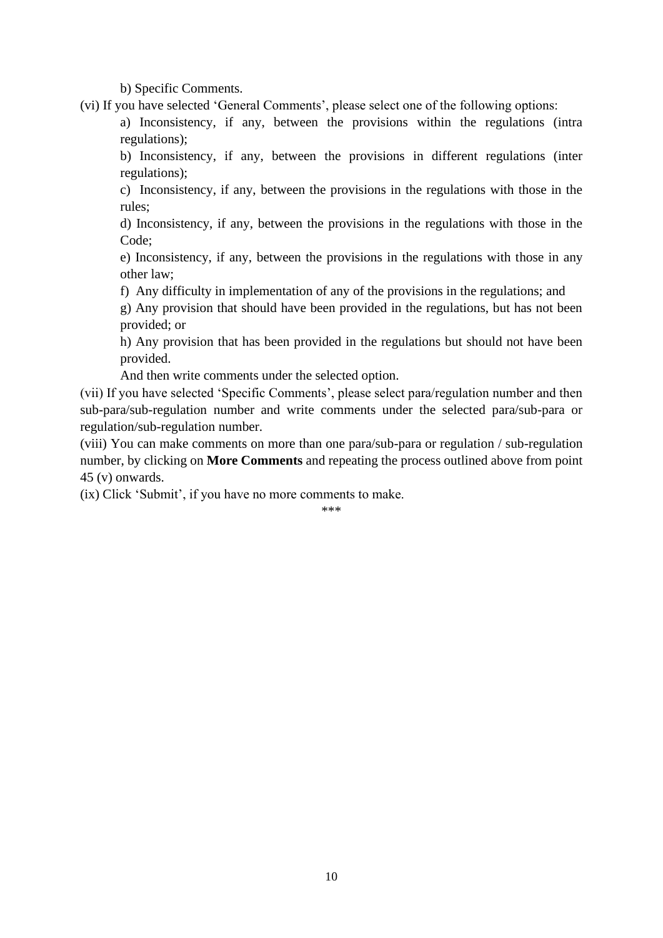b) Specific Comments.

(vi) If you have selected 'General Comments', please select one of the following options:

a) Inconsistency, if any, between the provisions within the regulations (intra regulations);

b) Inconsistency, if any, between the provisions in different regulations (inter regulations);

c) Inconsistency, if any, between the provisions in the regulations with those in the rules;

d) Inconsistency, if any, between the provisions in the regulations with those in the Code;

e) Inconsistency, if any, between the provisions in the regulations with those in any other law;

f) Any difficulty in implementation of any of the provisions in the regulations; and

g) Any provision that should have been provided in the regulations, but has not been provided; or

h) Any provision that has been provided in the regulations but should not have been provided.

And then write comments under the selected option.

(vii) If you have selected 'Specific Comments', please select para/regulation number and then sub-para/sub-regulation number and write comments under the selected para/sub-para or regulation/sub-regulation number.

(viii) You can make comments on more than one para/sub-para or regulation / sub-regulation number, by clicking on **More Comments** and repeating the process outlined above from point 45 (v) onwards.

(ix) Click 'Submit', if you have no more comments to make.

\*\*\*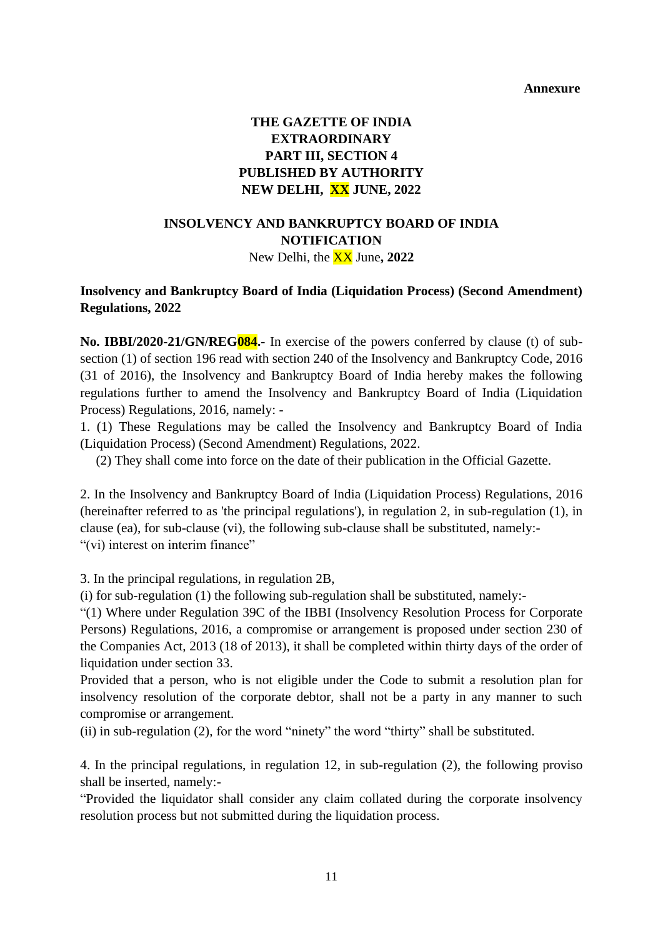#### **Annexure**

# **THE GAZETTE OF INDIA EXTRAORDINARY PART III, SECTION 4 PUBLISHED BY AUTHORITY NEW DELHI, XX JUNE, 2022**

## **INSOLVENCY AND BANKRUPTCY BOARD OF INDIA NOTIFICATION** New Delhi, the XX June**, 2022**

#### **Insolvency and Bankruptcy Board of India (Liquidation Process) (Second Amendment) Regulations, 2022**

**No. IBBI/2020-21/GN/REG084.-** In exercise of the powers conferred by clause (t) of subsection (1) of section 196 read with section 240 of the Insolvency and Bankruptcy Code, 2016 (31 of 2016), the Insolvency and Bankruptcy Board of India hereby makes the following regulations further to amend the Insolvency and Bankruptcy Board of India (Liquidation Process) Regulations, 2016, namely: -

1. (1) These Regulations may be called the Insolvency and Bankruptcy Board of India (Liquidation Process) (Second Amendment) Regulations, 2022.

(2) They shall come into force on the date of their publication in the Official Gazette.

2. In the Insolvency and Bankruptcy Board of India (Liquidation Process) Regulations, 2016 (hereinafter referred to as 'the principal regulations'), in regulation 2, in sub-regulation (1), in clause (ea), for sub-clause (vi), the following sub-clause shall be substituted, namely:- "(vi) interest on interim finance"

3. In the principal regulations, in regulation 2B,

(i) for sub-regulation (1) the following sub-regulation shall be substituted, namely:-

"(1) Where under Regulation 39C of the IBBI (Insolvency Resolution Process for Corporate Persons) Regulations, 2016, a compromise or arrangement is proposed under section 230 of the Companies Act, 2013 (18 of 2013), it shall be completed within thirty days of the order of liquidation under section 33.

Provided that a person, who is not eligible under the Code to submit a resolution plan for insolvency resolution of the corporate debtor, shall not be a party in any manner to such compromise or arrangement.

(ii) in sub-regulation (2), for the word "ninety" the word "thirty" shall be substituted.

4. In the principal regulations, in regulation 12, in sub-regulation (2), the following proviso shall be inserted, namely:-

"Provided the liquidator shall consider any claim collated during the corporate insolvency resolution process but not submitted during the liquidation process.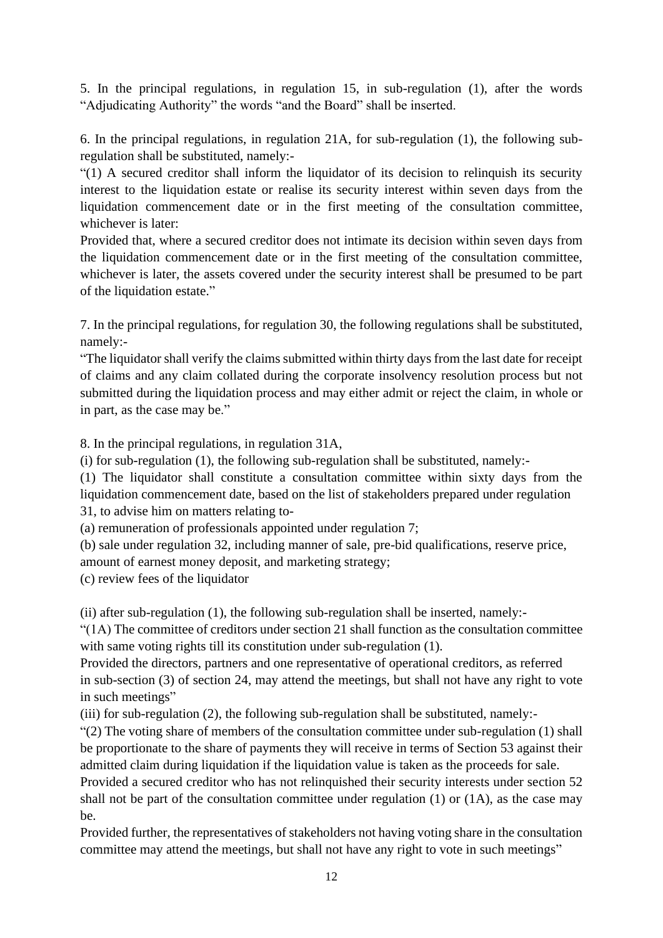5. In the principal regulations, in regulation 15, in sub-regulation (1), after the words "Adjudicating Authority" the words "and the Board" shall be inserted.

6. In the principal regulations, in regulation 21A, for sub-regulation (1), the following subregulation shall be substituted, namely:-

"(1) A secured creditor shall inform the liquidator of its decision to relinquish its security interest to the liquidation estate or realise its security interest within seven days from the liquidation commencement date or in the first meeting of the consultation committee, whichever is later:

Provided that, where a secured creditor does not intimate its decision within seven days from the liquidation commencement date or in the first meeting of the consultation committee, whichever is later, the assets covered under the security interest shall be presumed to be part of the liquidation estate."

7. In the principal regulations, for regulation 30, the following regulations shall be substituted, namely:-

"The liquidator shall verify the claims submitted within thirty days from the last date for receipt of claims and any claim collated during the corporate insolvency resolution process but not submitted during the liquidation process and may either admit or reject the claim, in whole or in part, as the case may be."

8. In the principal regulations, in regulation 31A,

(i) for sub-regulation (1), the following sub-regulation shall be substituted, namely:-

(1) The liquidator shall constitute a consultation committee within sixty days from the liquidation commencement date, based on the list of stakeholders prepared under regulation 31, to advise him on matters relating to-

(a) remuneration of professionals appointed under regulation 7;

(b) sale under regulation 32, including manner of sale, pre-bid qualifications, reserve price,

amount of earnest money deposit, and marketing strategy;

(c) review fees of the liquidator

(ii) after sub-regulation (1), the following sub-regulation shall be inserted, namely:-

"(1A) The committee of creditors under section 21 shall function as the consultation committee with same voting rights till its constitution under sub-regulation (1).

Provided the directors, partners and one representative of operational creditors, as referred in sub-section (3) of section 24, may attend the meetings, but shall not have any right to vote in such meetings"

(iii) for sub-regulation (2), the following sub-regulation shall be substituted, namely:-

"(2) The voting share of members of the consultation committee under sub-regulation (1) shall be proportionate to the share of payments they will receive in terms of Section 53 against their admitted claim during liquidation if the liquidation value is taken as the proceeds for sale.

Provided a secured creditor who has not relinquished their security interests under section 52 shall not be part of the consultation committee under regulation  $(1)$  or  $(1A)$ , as the case may be.

Provided further, the representatives of stakeholders not having voting share in the consultation committee may attend the meetings, but shall not have any right to vote in such meetings"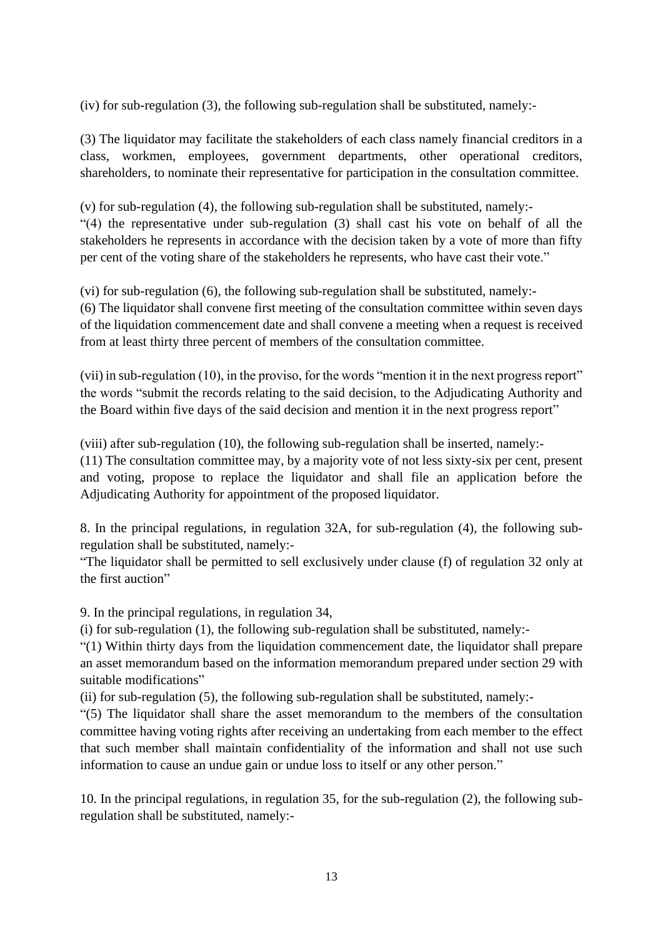(iv) for sub-regulation (3), the following sub-regulation shall be substituted, namely:-

(3) The liquidator may facilitate the stakeholders of each class namely financial creditors in a class, workmen, employees, government departments, other operational creditors, shareholders, to nominate their representative for participation in the consultation committee.

(v) for sub-regulation (4), the following sub-regulation shall be substituted, namely:- "(4) the representative under sub-regulation (3) shall cast his vote on behalf of all the stakeholders he represents in accordance with the decision taken by a vote of more than fifty per cent of the voting share of the stakeholders he represents, who have cast their vote."

(vi) for sub-regulation (6), the following sub-regulation shall be substituted, namely:-

(6) The liquidator shall convene first meeting of the consultation committee within seven days of the liquidation commencement date and shall convene a meeting when a request is received from at least thirty three percent of members of the consultation committee.

(vii) in sub-regulation (10), in the proviso, for the words "mention it in the next progress report" the words "submit the records relating to the said decision, to the Adjudicating Authority and the Board within five days of the said decision and mention it in the next progress report"

(viii) after sub-regulation (10), the following sub-regulation shall be inserted, namely:-

(11) The consultation committee may, by a majority vote of not less sixty-six per cent, present and voting, propose to replace the liquidator and shall file an application before the Adjudicating Authority for appointment of the proposed liquidator.

8. In the principal regulations, in regulation 32A, for sub-regulation (4), the following subregulation shall be substituted, namely:-

"The liquidator shall be permitted to sell exclusively under clause (f) of regulation 32 only at the first auction"

9. In the principal regulations, in regulation 34,

(i) for sub-regulation (1), the following sub-regulation shall be substituted, namely:-

"(1) Within thirty days from the liquidation commencement date, the liquidator shall prepare an asset memorandum based on the information memorandum prepared under section 29 with suitable modifications"

(ii) for sub-regulation (5), the following sub-regulation shall be substituted, namely:-

"(5) The liquidator shall share the asset memorandum to the members of the consultation committee having voting rights after receiving an undertaking from each member to the effect that such member shall maintain confidentiality of the information and shall not use such information to cause an undue gain or undue loss to itself or any other person."

10. In the principal regulations, in regulation 35, for the sub-regulation (2), the following subregulation shall be substituted, namely:-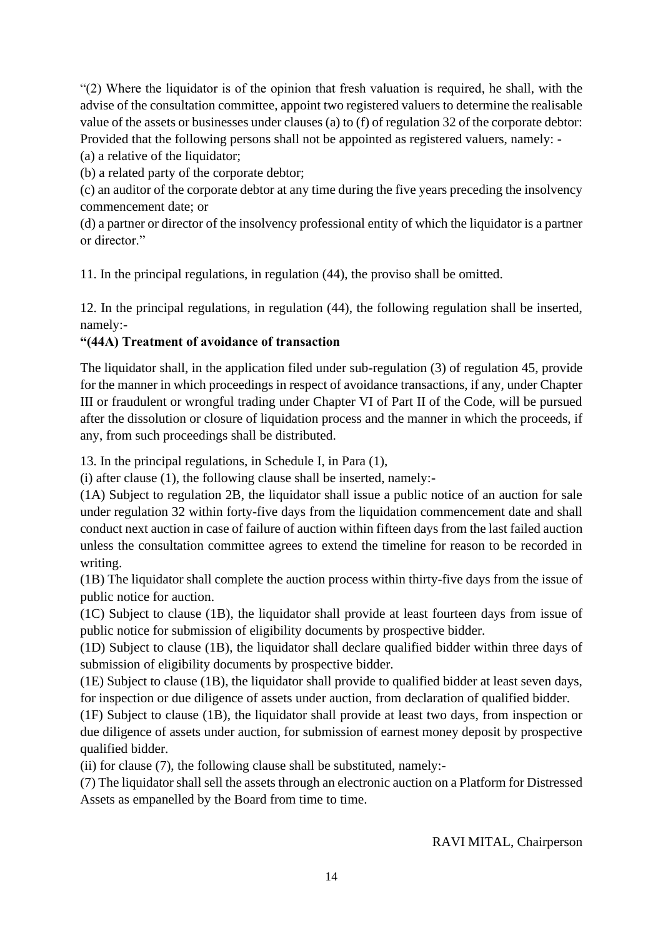"(2) Where the liquidator is of the opinion that fresh valuation is required, he shall, with the advise of the consultation committee, appoint two registered valuers to determine the realisable value of the assets or businesses under clauses (a) to (f) of regulation 32 of the corporate debtor: Provided that the following persons shall not be appointed as registered valuers, namely: -

(a) a relative of the liquidator;

(b) a related party of the corporate debtor;

(c) an auditor of the corporate debtor at any time during the five years preceding the insolvency commencement date; or

(d) a partner or director of the insolvency professional entity of which the liquidator is a partner or director."

11. In the principal regulations, in regulation (44), the proviso shall be omitted.

12. In the principal regulations, in regulation (44), the following regulation shall be inserted, namely:-

## **"(44A) Treatment of avoidance of transaction**

The liquidator shall, in the application filed under sub-regulation (3) of regulation 45, provide for the manner in which proceedings in respect of avoidance transactions, if any, under Chapter III or fraudulent or wrongful trading under Chapter VI of Part II of the Code, will be pursued after the dissolution or closure of liquidation process and the manner in which the proceeds, if any, from such proceedings shall be distributed.

13. In the principal regulations, in Schedule I, in Para (1),

(i) after clause (1), the following clause shall be inserted, namely:-

(1A) Subject to regulation 2B, the liquidator shall issue a public notice of an auction for sale under regulation 32 within forty-five days from the liquidation commencement date and shall conduct next auction in case of failure of auction within fifteen days from the last failed auction unless the consultation committee agrees to extend the timeline for reason to be recorded in writing.

(1B) The liquidator shall complete the auction process within thirty-five days from the issue of public notice for auction.

(1C) Subject to clause (1B), the liquidator shall provide at least fourteen days from issue of public notice for submission of eligibility documents by prospective bidder.

(1D) Subject to clause (1B), the liquidator shall declare qualified bidder within three days of submission of eligibility documents by prospective bidder.

(1E) Subject to clause (1B), the liquidator shall provide to qualified bidder at least seven days, for inspection or due diligence of assets under auction, from declaration of qualified bidder.

(1F) Subject to clause (1B), the liquidator shall provide at least two days, from inspection or due diligence of assets under auction, for submission of earnest money deposit by prospective qualified bidder.

(ii) for clause (7), the following clause shall be substituted, namely:-

(7) The liquidator shall sell the assets through an electronic auction on a Platform for Distressed Assets as empanelled by the Board from time to time.